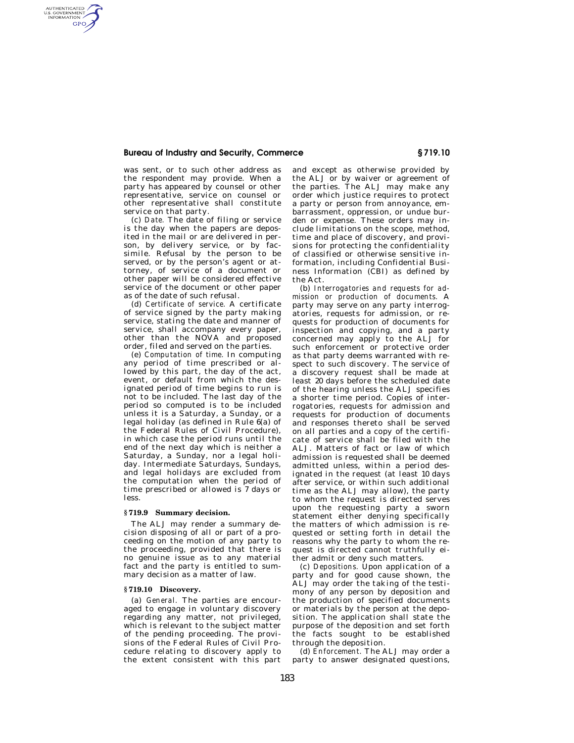## **Bureau of Industry and Security, Commerce § 719.10**

was sent, or to such other address as the respondent may provide. When a party has appeared by counsel or other representative, service on counsel or other representative shall constitute service on that party.

AUTHENTICATED<br>U.S. GOVERNMENT<br>INFORMATION **GPO** 

> (c) *Date.* The date of filing or service is the day when the papers are deposited in the mail or are delivered in person, by delivery service, or by facsimile. Refusal by the person to be served, or by the person's agent or attorney, of service of a document or other paper will be considered effective service of the document or other paper as of the date of such refusal.

> (d) *Certificate of service.* A certificate of service signed by the party making service, stating the date and manner of service, shall accompany every paper, other than the NOVA and proposed order, filed and served on the parties.

> (e) *Computation of time.* In computing any period of time prescribed or allowed by this part, the day of the act, event, or default from which the designated period of time begins to run is not to be included. The last day of the period so computed is to be included unless it is a Saturday, a Sunday, or a legal holiday (as defined in Rule 6(a) of the Federal Rules of Civil Procedure), in which case the period runs until the end of the next day which is neither a Saturday, a Sunday, nor a legal holiday. Intermediate Saturdays, Sundays, and legal holidays are excluded from the computation when the period of time prescribed or allowed is 7 days or less.

### **§ 719.9 Summary decision.**

The ALJ may render a summary decision disposing of all or part of a proceeding on the motion of any party to the proceeding, provided that there is no genuine issue as to any material fact and the party is entitled to summary decision as a matter of law.

## **§ 719.10 Discovery.**

(a) *General.* The parties are encouraged to engage in voluntary discovery regarding any matter, not privileged, which is relevant to the subject matter of the pending proceeding. The provisions of the Federal Rules of Civil Procedure relating to discovery apply to the extent consistent with this part and except as otherwise provided by the ALJ or by waiver or agreement of the parties. The ALJ may make any order which justice requires to protect a party or person from annoyance, embarrassment, oppression, or undue burden or expense. These orders may include limitations on the scope, method, time and place of discovery, and provisions for protecting the confidentiality of classified or otherwise sensitive information, including Confidential Business Information (CBI) as defined by the Act.

(b) *Interrogatories and requests for admission or production of documents.* A party may serve on any party interrogatories, requests for admission, or requests for production of documents for inspection and copying, and a party concerned may apply to the ALJ for such enforcement or protective order as that party deems warranted with respect to such discovery. The service of a discovery request shall be made at least 20 days before the scheduled date of the hearing unless the ALJ specifies a shorter time period. Copies of interrogatories, requests for admission and requests for production of documents and responses thereto shall be served on all parties and a copy of the certificate of service shall be filed with the ALJ. Matters of fact or law of which admission is requested shall be deemed admitted unless, within a period designated in the request (at least 10 days after service, or within such additional time as the ALJ may allow), the party to whom the request is directed serves upon the requesting party a sworn statement either denying specifically the matters of which admission is requested or setting forth in detail the reasons why the party to whom the request is directed cannot truthfully either admit or deny such matters.

(c) *Depositions.* Upon application of a party and for good cause shown, the ALJ may order the taking of the testimony of any person by deposition and the production of specified documents or materials by the person at the deposition. The application shall state the purpose of the deposition and set forth the facts sought to be established through the deposition.

(d) *Enforcement.* The ALJ may order a party to answer designated questions,